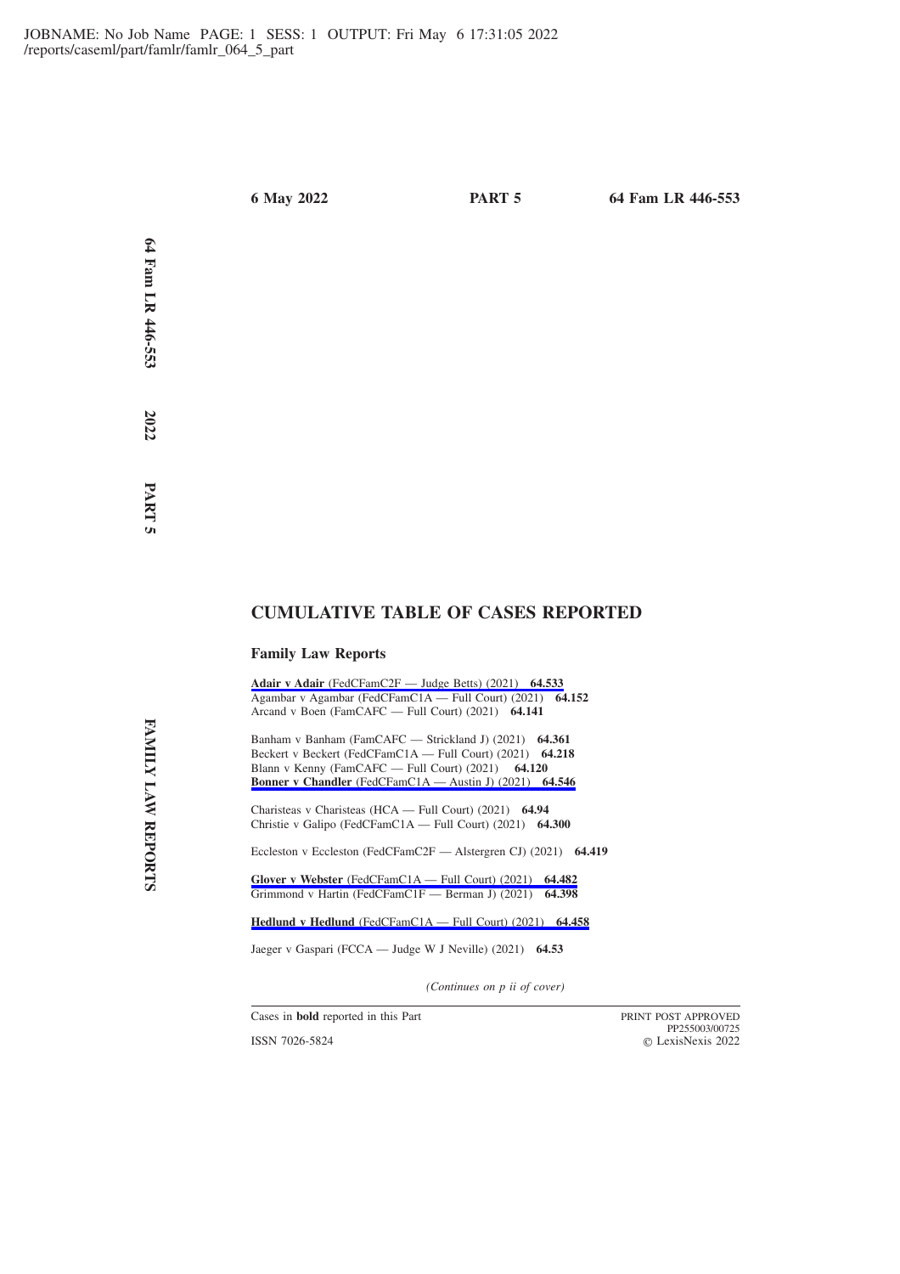**Fam LR 446-553 2022 PART**

 **5**

**64**

# **CUMULATIVE TABLE OF CASES REPORTED**

## **Family Law Reports**

**Adair v Adair** [\(FedCFamC2F — Judge Betts\) \(2021\)](https://advance.lexis.com/api/permalink/6ae28ef7-1a29-4ac0-8e81-daebc3e50cb5/?context=1201008) **64.533** Agambar v Agambar (FedCFamC1A — Full Court) (2021) **64.152** Arcand v Boen (FamCAFC — Full Court) (2021) **64.141**

Banham v Banham (FamCAFC — Strickland J) (2021) **64.361** Beckert v Beckert (FedCFamC1A — Full Court) (2021) **64.218** Blann v Kenny (FamCAFC — Full Court) (2021) **64.120 Bonner v Chandler** [\(FedCFamC1A — Austin J\) \(2021\)](https://advance.lexis.com/api/permalink/e9de7e9b-0a09-4fba-ab15-b44067a6213a/?context=1201008) **64.546**

Charisteas v Charisteas (HCA — Full Court) (2021) **64.94** Christie v Galipo (FedCFamC1A — Full Court) (2021) **64.300**

Eccleston v Eccleston (FedCFamC2F — Alstergren CJ) (2021) **64.419**

**Glover v Webster** [\(FedCFamC1A — Full Court\) \(2021\)](https://advance.lexis.com/api/permalink/a1e1aef6-2d98-44d1-9985-4ace0b730f53/?context=1201008) **64.482** Grimmond v Hartin (FedCFamC1F — Berman J) (2021) **64.398**

**Hedlund v Hedlund** [\(FedCFamC1A — Full Court\) \(2021\)](https://advance.lexis.com/api/permalink/7c84968a-ddec-4c2b-bc86-a69ae4d2df65/?context=1201008) **64.458**

Jaeger v Gaspari (FCCA — Judge W J Neville) (2021) **64.53**

*(Continues on p ii of cover)*

Cases in **bold** reported in this Part PRINT POST APPROVED

ISSN 7026-5824

PP255003/00725 LexisNexis 2022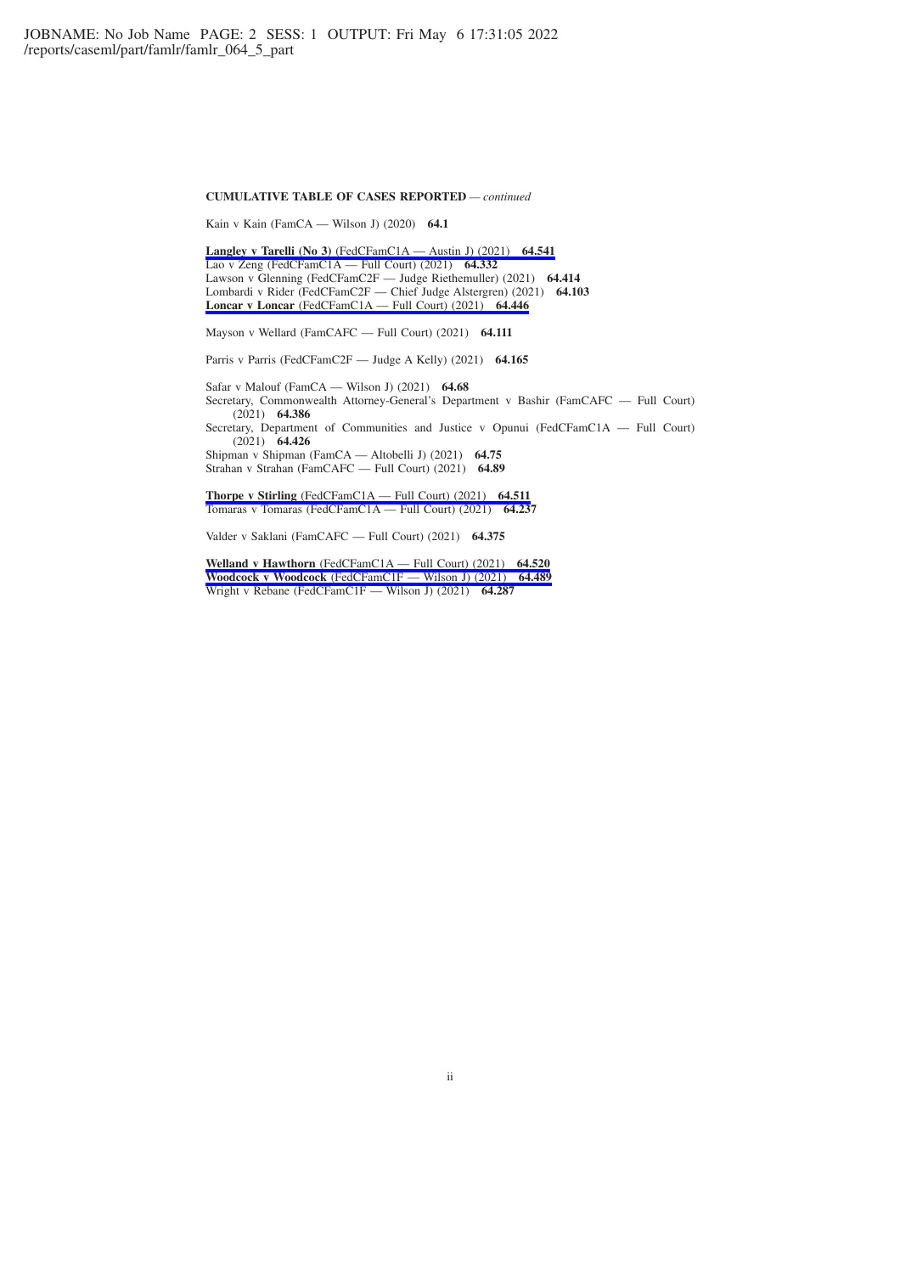#### **CUMULATIVE TABLE OF CASES REPORTED** *— continued*

Kain v Kain (FamCA — Wilson J) (2020) **64.1**

**Langley v Tarelli (No 3)** [\(FedCFamC1A — Austin J\) \(2021\)](https://advance.lexis.com/api/permalink/fbdbf1f9-0013-4a28-9523-4254bd0f4705/?context=1201008) **64.541** Lao v Zeng (FedCFamC1A — Full Court) (2021) **64.332** Lawson v Glenning (FedCFamC2F — Judge Riethemuller) (2021) **64.414** Lombardi v Rider (FedCFamC2F — Chief Judge Alstergren) (2021) **64.103 Loncar v Loncar** [\(FedCFamC1A — Full Court\) \(2021\)](https://advance.lexis.com/api/permalink/bcdbd110-59a1-4d9b-b982-7bc46e7507a2/?context=1201008) **64.446**

Mayson v Wellard (FamCAFC — Full Court) (2021) **64.111**

Parris v Parris (FedCFamC2F — Judge A Kelly) (2021) **64.165**

Safar v Malouf (FamCA — Wilson J) (2021) **64.68** Secretary, Commonwealth Attorney-General's Department v Bashir (FamCAFC — Full Court) (2021) **64.386** Secretary, Department of Communities and Justice v Opunui (FedCFamC1A — Full Court) (2021) **64.426** Shipman v Shipman (FamCA — Altobelli J) (2021) **64.75** Strahan v Strahan (FamCAFC — Full Court) (2021) **64.89**

**Thorpe v Stirling** [\(FedCFamC1A — Full Court\) \(2021\)](https://advance.lexis.com/api/permalink/e065cde1-db2f-48ce-99bc-9d2aea79b019/?context=1201008) **64.511** Tomaras v Tomaras (FedCFamC1A — Full Court) (2021) **64.237**

Valder v Saklani (FamCAFC — Full Court) (2021) **64.375**

**Welland v Hawthorn** [\(FedCFamC1A — Full Court\) \(2021\)](https://advance.lexis.com/api/permalink/38c5666f-6705-4f36-a97d-309ad0bd9905/?context=1201008) **64.520 Woodcock v Woodcock** [\(FedCFamC1F — Wilson J\) \(2021\)](https://advance.lexis.com/api/permalink/a52041c6-c95f-4b31-bbb3-7968ec9d58a1/?context=1201008) **64.489** Wright v Rebane (FedCFamC1F — Wilson J) (2021) **64.287**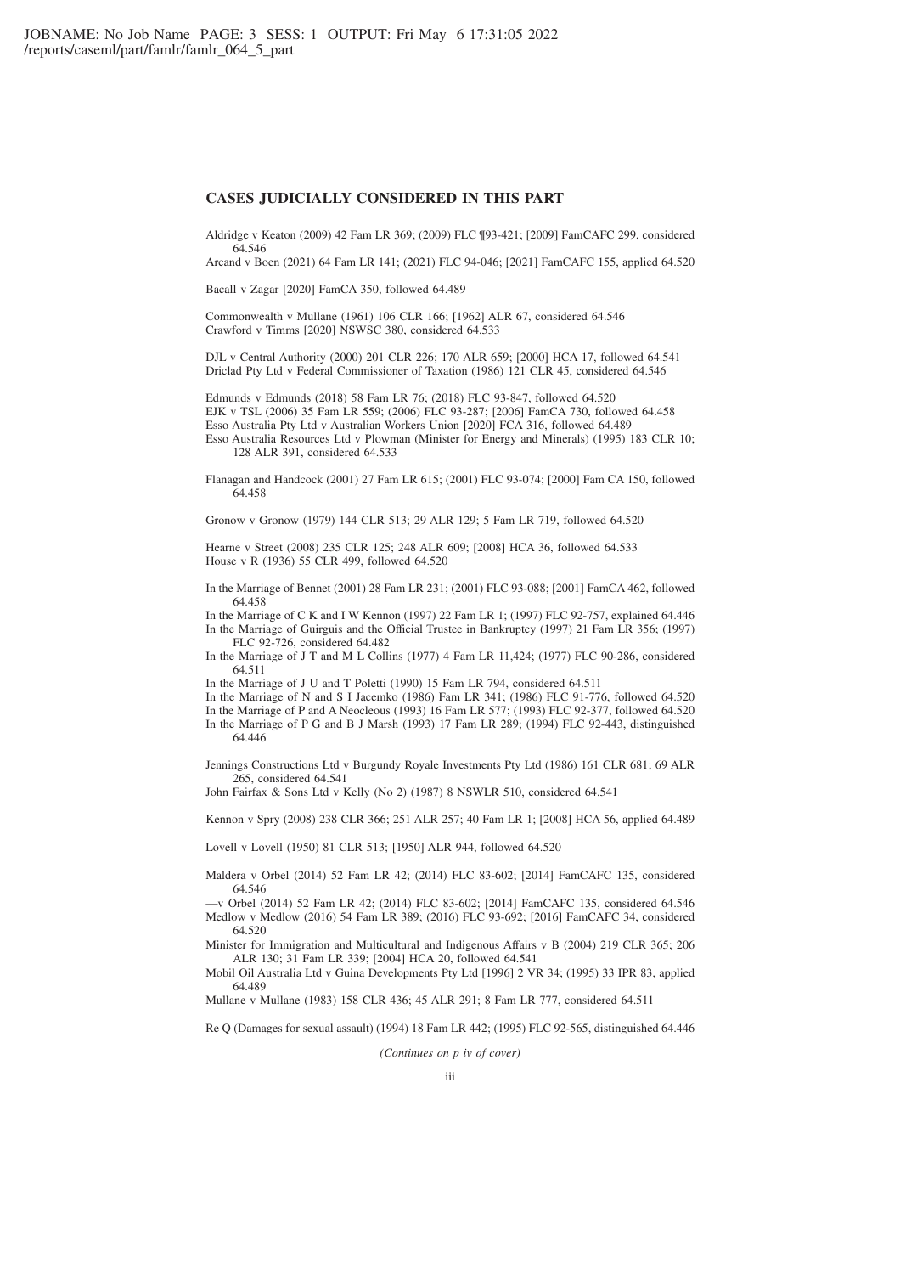## **CASES JUDICIALLY CONSIDERED IN THIS PART**

Aldridge v Keaton (2009) 42 Fam LR 369; (2009) FLC ¶93-421; [2009] FamCAFC 299, considered 64.546

Arcand v Boen (2021) 64 Fam LR 141; (2021) FLC 94-046; [2021] FamCAFC 155, applied 64.520

Bacall v Zagar [2020] FamCA 350, followed 64.489

Commonwealth v Mullane (1961) 106 CLR 166; [1962] ALR 67, considered 64.546 Crawford v Timms [2020] NSWSC 380, considered 64.533

DJL v Central Authority (2000) 201 CLR 226; 170 ALR 659; [2000] HCA 17, followed 64.541 Driclad Pty Ltd v Federal Commissioner of Taxation (1986) 121 CLR 45, considered 64.546

Edmunds v Edmunds (2018) 58 Fam LR 76; (2018) FLC 93-847, followed 64.520 EJK v TSL (2006) 35 Fam LR 559; (2006) FLC 93-287; [2006] FamCA 730, followed 64.458 Esso Australia Pty Ltd v Australian Workers Union [2020] FCA 316, followed 64.489 Esso Australia Resources Ltd v Plowman (Minister for Energy and Minerals) (1995) 183 CLR 10;

128 ALR 391, considered 64.533

Flanagan and Handcock (2001) 27 Fam LR 615; (2001) FLC 93-074; [2000] Fam CA 150, followed 64.458

Gronow v Gronow (1979) 144 CLR 513; 29 ALR 129; 5 Fam LR 719, followed 64.520

Hearne v Street (2008) 235 CLR 125; 248 ALR 609; [2008] HCA 36, followed 64.533 House v R (1936) 55 CLR 499, followed 64.520

In the Marriage of Bennet (2001) 28 Fam LR 231; (2001) FLC 93-088; [2001] FamCA 462, followed 64.458

In the Marriage of C K and I W Kennon (1997) 22 Fam LR 1; (1997) FLC 92-757, explained 64.446 In the Marriage of Guirguis and the Official Trustee in Bankruptcy (1997) 21 Fam LR 356; (1997) FLC 92-726, considered 64.482

In the Marriage of J T and M L Collins (1977) 4 Fam LR 11,424; (1977) FLC 90-286, considered 64.511

In the Marriage of J U and T Poletti (1990) 15 Fam LR 794, considered 64.511

In the Marriage of N and S I Jacemko (1986) Fam LR 341; (1986) FLC 91-776, followed 64.520

In the Marriage of P and A Neocleous (1993) 16 Fam LR 577; (1993) FLC 92-377, followed 64.520

In the Marriage of P G and B J Marsh (1993) 17 Fam LR 289; (1994) FLC 92-443, distinguished 64.446

Jennings Constructions Ltd v Burgundy Royale Investments Pty Ltd (1986) 161 CLR 681; 69 ALR 265, considered 64.541

John Fairfax & Sons Ltd v Kelly (No 2) (1987) 8 NSWLR 510, considered 64.541

Kennon v Spry (2008) 238 CLR 366; 251 ALR 257; 40 Fam LR 1; [2008] HCA 56, applied 64.489

Lovell v Lovell (1950) 81 CLR 513; [1950] ALR 944, followed 64.520

Maldera v Orbel (2014) 52 Fam LR 42; (2014) FLC 83-602; [2014] FamCAFC 135, considered 64.546

—v Orbel (2014) 52 Fam LR 42; (2014) FLC 83-602; [2014] FamCAFC 135, considered 64.546 Medlow v Medlow (2016) 54 Fam LR 389; (2016) FLC 93-692; [2016] FamCAFC 34, considered 64.520

Minister for Immigration and Multicultural and Indigenous Affairs v B (2004) 219 CLR 365; 206 ALR 130; 31 Fam LR 339; [2004] HCA 20, followed 64.541

Mobil Oil Australia Ltd v Guina Developments Pty Ltd [1996] 2 VR 34; (1995) 33 IPR 83, applied 64.489

Mullane v Mullane (1983) 158 CLR 436; 45 ALR 291; 8 Fam LR 777, considered 64.511

Re Q (Damages for sexual assault) (1994) 18 Fam LR 442; (1995) FLC 92-565, distinguished 64.446

*(Continues on p iv of cover)*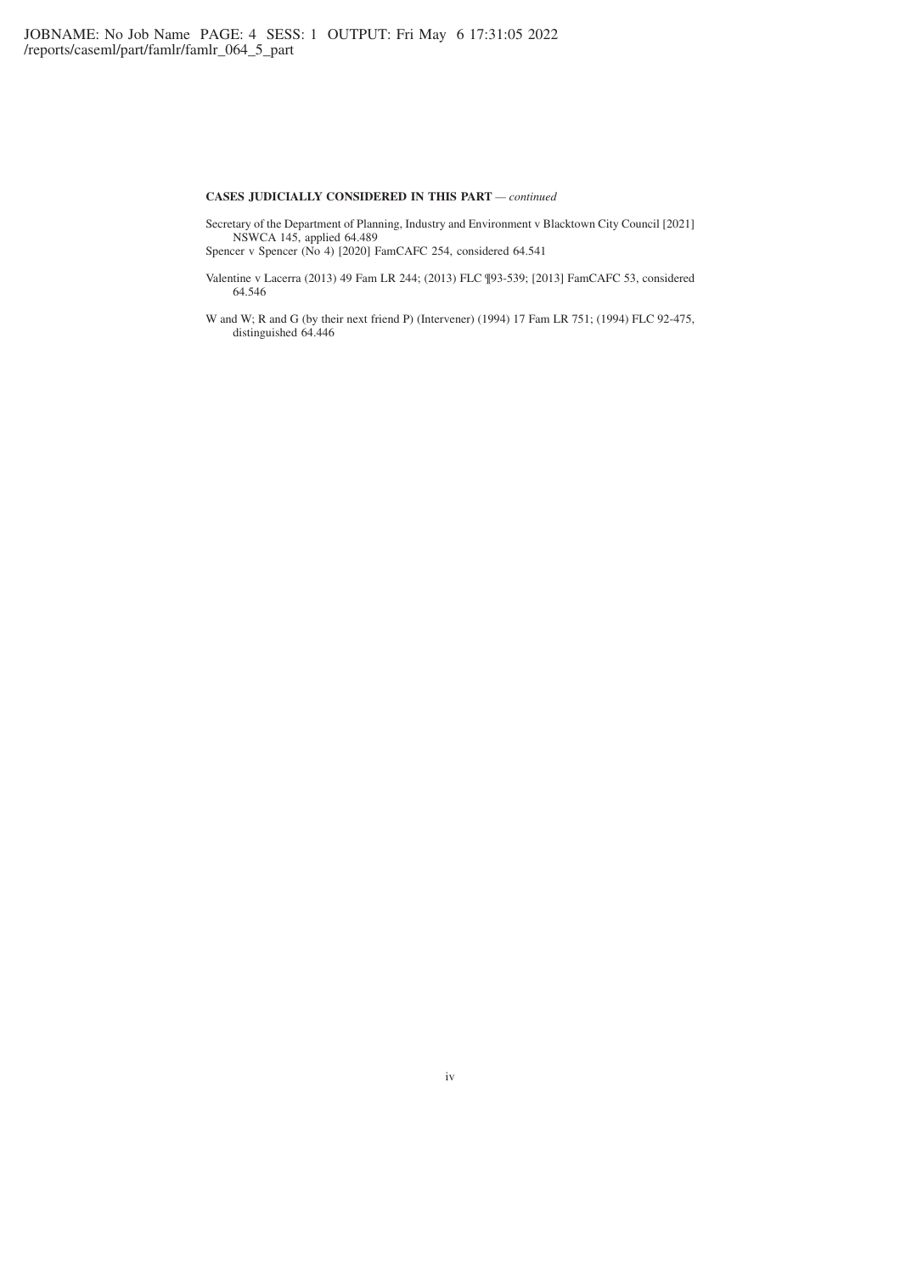## **CASES JUDICIALLY CONSIDERED IN THIS PART** *— continued*

Secretary of the Department of Planning, Industry and Environment v Blacktown City Council [2021] NSWCA 145, applied 64.489

Spencer v Spencer (No 4) [2020] FamCAFC 254, considered 64.541

- Valentine v Lacerra (2013) 49 Fam LR 244; (2013) FLC ¶93-539; [2013] FamCAFC 53, considered 64.546
- W and W; R and G (by their next friend P) (Intervener) (1994) 17 Fam LR 751; (1994) FLC 92-475, distinguished 64.446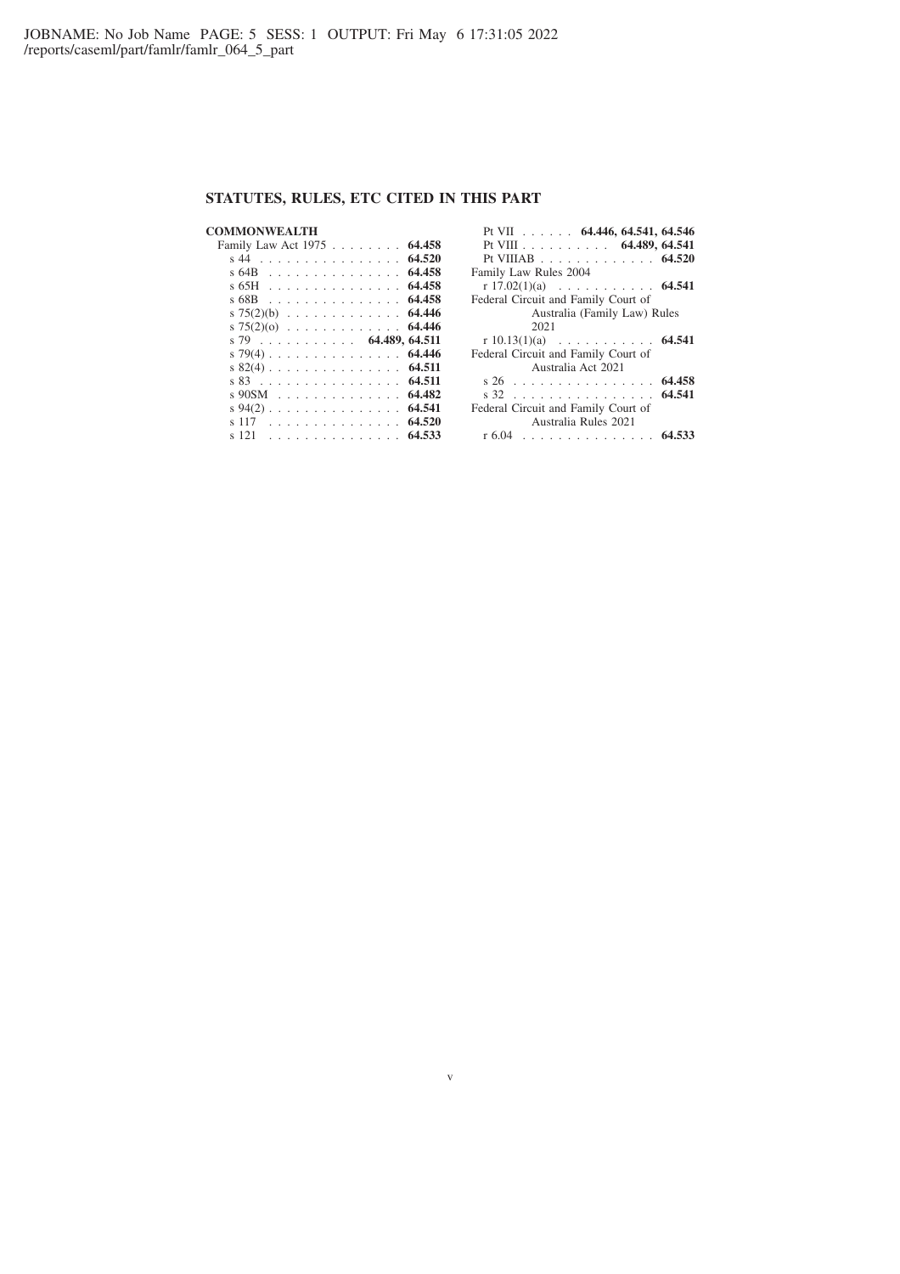# **STATUTES, RULES, ETC CITED IN THIS PART**

| COMMONWEALTH                                                                                |        |
|---------------------------------------------------------------------------------------------|--------|
| Family Law Act 1975                                                                         | 64.458 |
| s 44<br>de la caractería de la caractería                                                   | 64.520 |
| s 64B<br><u>.</u>                                                                           | 64.458 |
| s 65H<br>and a straightful contract and con-                                                | 64.458 |
| s 68B<br>.                                                                                  | 64.458 |
| s $75(2)(b)$ 64.446                                                                         |        |
| s 75(2)(0) $\ldots$                                                                         | 64.446 |
|                                                                                             |        |
| 4.489, 64.511<br>s 79                                                                       |        |
| s 79(4)                                                                                     | 64.446 |
| s 82(4)                                                                                     | 64.511 |
| s 83<br>.                                                                                   | 64.511 |
| s 90SM<br>.                                                                                 | 64.482 |
| $s\,94(2)$<br>$\mathcal{A}$ . The set of the set of the set of the set of the $\mathcal{A}$ | 64.541 |
| 117<br>.                                                                                    | 64.520 |

| Pt VII $\ldots$ $\ldots$ 64.446, 64.541, 64.546<br>Pt VIII 64.489, 64.541<br>Pt VIIIAB 64.520 |        |
|-----------------------------------------------------------------------------------------------|--------|
| Family Law Rules 2004                                                                         |        |
| r $17.02(1)(a)$ 64.541                                                                        |        |
| Federal Circuit and Family Court of                                                           |        |
| Australia (Family Law) Rules                                                                  |        |
| 2021                                                                                          |        |
| r 10.13(1)(a) $\ldots$ 64.541                                                                 |        |
| Federal Circuit and Family Court of                                                           |        |
| Australia Act 2021                                                                            |        |
| s 26                                                                                          | 64.458 |
| s 32                                                                                          | 64.541 |
| Federal Circuit and Family Court of                                                           |        |
| Australia Rules 2021                                                                          |        |
| r 6.04<br>. 64.5                                                                              |        |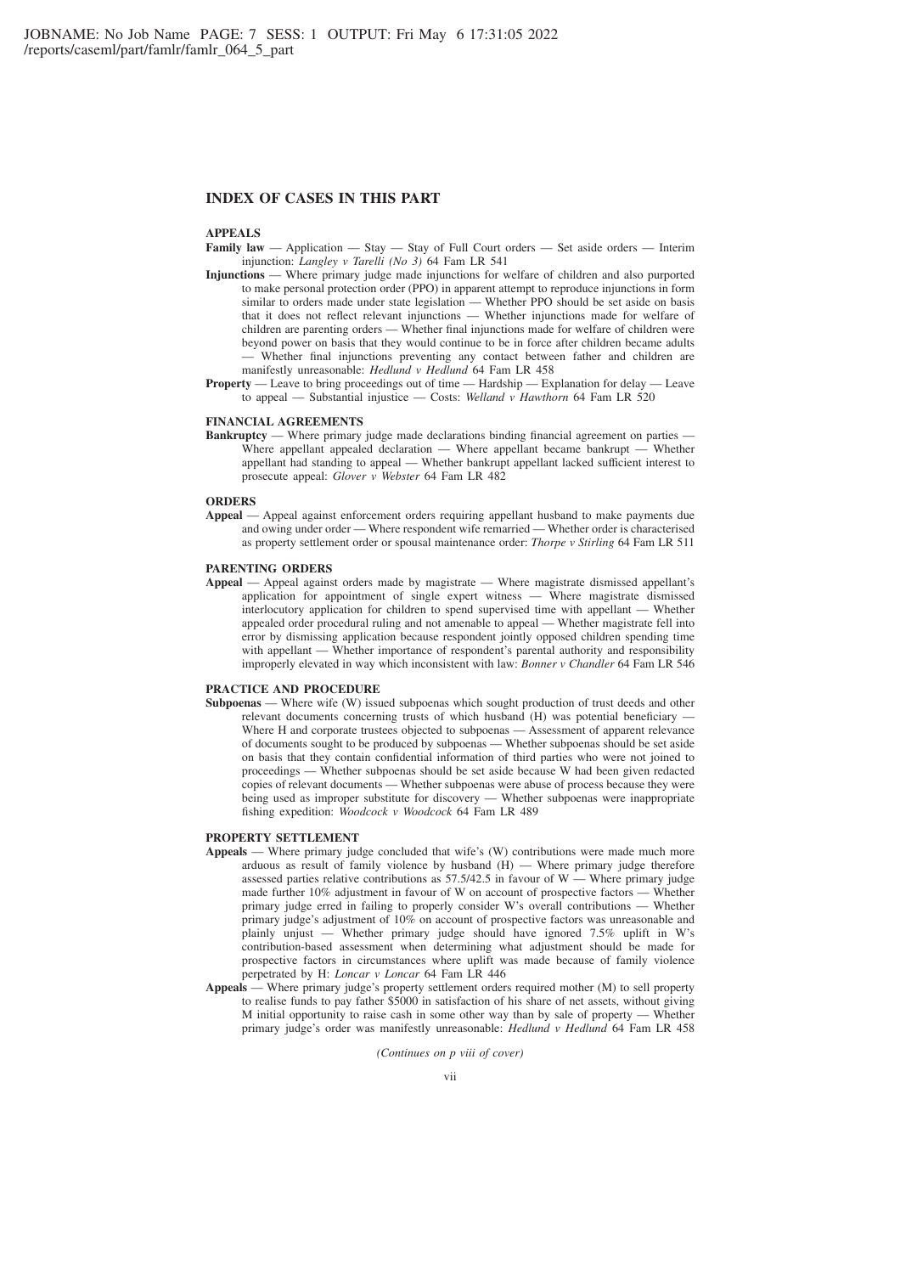## **INDEX OF CASES IN THIS PART**

## **APPEALS**

- **Family law** Application Stay Stay of Full Court orders Set aside orders Interim injunction: *Langley v Tarelli (No 3)* 64 Fam LR 541
- **Injunctions** Where primary judge made injunctions for welfare of children and also purported to make personal protection order (PPO) in apparent attempt to reproduce injunctions in form similar to orders made under state legislation — Whether PPO should be set aside on basis that it does not reflect relevant injunctions — Whether injunctions made for welfare of children are parenting orders — Whether final injunctions made for welfare of children were beyond power on basis that they would continue to be in force after children became adults — Whether final injunctions preventing any contact between father and children are manifestly unreasonable: *Hedlund v Hedlund* 64 Fam LR 458
- **Property** Leave to bring proceedings out of time Hardship Explanation for delay Leave to appeal — Substantial injustice — Costs: *Welland v Hawthorn* 64 Fam LR 520

#### **FINANCIAL AGREEMENTS**

**Bankruptcy** — Where primary judge made declarations binding financial agreement on parties — Where appellant appealed declaration — Where appellant became bankrupt — Whether appellant had standing to appeal — Whether bankrupt appellant lacked sufficient interest to prosecute appeal: *Glover v Webster* 64 Fam LR 482

#### **ORDERS**

**Appeal** — Appeal against enforcement orders requiring appellant husband to make payments due and owing under order — Where respondent wife remarried — Whether order is characterised as property settlement order or spousal maintenance order: *Thorpe v Stirling* 64 Fam LR 511

### **PARENTING ORDERS**

**Appeal** — Appeal against orders made by magistrate — Where magistrate dismissed appellant's application for appointment of single expert witness — Where magistrate dismissed interlocutory application for children to spend supervised time with appellant — Whether appealed order procedural ruling and not amenable to appeal — Whether magistrate fell into error by dismissing application because respondent jointly opposed children spending time with appellant — Whether importance of respondent's parental authority and responsibility improperly elevated in way which inconsistent with law: *Bonner v Chandler* 64 Fam LR 546

#### **PRACTICE AND PROCEDURE**

**Subpoenas** — Where wife (W) issued subpoenas which sought production of trust deeds and other relevant documents concerning trusts of which husband  $(H)$  was potential beneficiary  $\cdot$ Where H and corporate trustees objected to subpoenas — Assessment of apparent relevance of documents sought to be produced by subpoenas — Whether subpoenas should be set aside on basis that they contain confidential information of third parties who were not joined to proceedings — Whether subpoenas should be set aside because W had been given redacted copies of relevant documents — Whether subpoenas were abuse of process because they were being used as improper substitute for discovery — Whether subpoenas were inappropriate fishing expedition: *Woodcock v Woodcock* 64 Fam LR 489

#### **PROPERTY SETTLEMENT**

- **Appeals** Where primary judge concluded that wife's (W) contributions were made much more arduous as result of family violence by husband  $(H)$  — Where primary judge therefore assessed parties relative contributions as  $57.5/42.5$  in favour of W — Where primary judge made further 10% adjustment in favour of W on account of prospective factors — Whether primary judge erred in failing to properly consider W's overall contributions — Whether primary judge's adjustment of 10% on account of prospective factors was unreasonable and plainly unjust — Whether primary judge should have ignored 7.5% uplift in W's contribution-based assessment when determining what adjustment should be made for prospective factors in circumstances where uplift was made because of family violence perpetrated by H: *Loncar v Loncar* 64 Fam LR 446
- **Appeals** Where primary judge's property settlement orders required mother (M) to sell property to realise funds to pay father \$5000 in satisfaction of his share of net assets, without giving M initial opportunity to raise cash in some other way than by sale of property — Whether primary judge's order was manifestly unreasonable: *Hedlund v Hedlund* 64 Fam LR 458

*(Continues on p viii of cover)*